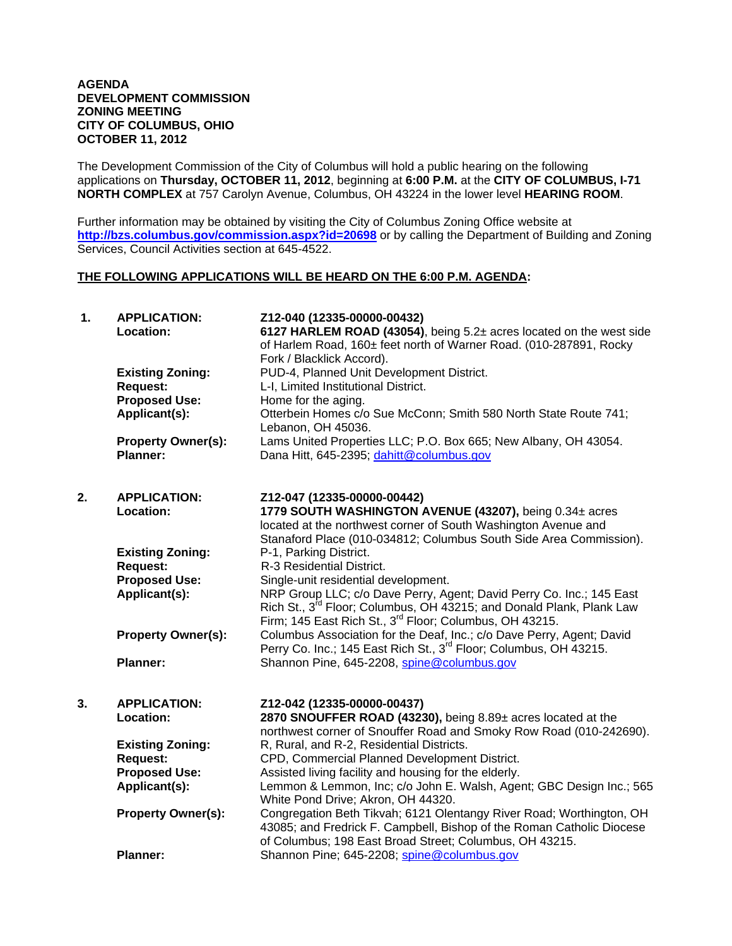#### **AGENDA DEVELOPMENT COMMISSION ZONING MEETING CITY OF COLUMBUS, OHIO OCTOBER 11, 2012**

The Development Commission of the City of Columbus will hold a public hearing on the following applications on **Thursday, OCTOBER 11, 2012**, beginning at **6:00 P.M.** at the **CITY OF COLUMBUS, I-71 NORTH COMPLEX** at 757 Carolyn Avenue, Columbus, OH 43224 in the lower level **HEARING ROOM**.

Further information may be obtained by visiting the City of Columbus Zoning Office website at **http://bzs.columbus.gov/commission.aspx?id=20698** or by calling the Department of Building and Zoning Services, Council Activities section at 645-4522.

### **THE FOLLOWING APPLICATIONS WILL BE HEARD ON THE 6:00 P.M. AGENDA:**

| 1. | <b>APPLICATION:</b><br>Location:             | Z12-040 (12335-00000-00432)<br>6127 HARLEM ROAD (43054), being 5.2± acres located on the west side<br>of Harlem Road, 160± feet north of Warner Road. (010-287891, Rocky<br>Fork / Blacklick Accord).                           |
|----|----------------------------------------------|---------------------------------------------------------------------------------------------------------------------------------------------------------------------------------------------------------------------------------|
|    | <b>Existing Zoning:</b>                      | PUD-4, Planned Unit Development District.                                                                                                                                                                                       |
|    | <b>Request:</b>                              | L-I, Limited Institutional District.                                                                                                                                                                                            |
|    | <b>Proposed Use:</b>                         | Home for the aging.                                                                                                                                                                                                             |
|    | Applicant(s):                                | Otterbein Homes c/o Sue McConn; Smith 580 North State Route 741;<br>Lebanon, OH 45036.                                                                                                                                          |
|    | <b>Property Owner(s):</b><br><b>Planner:</b> | Lams United Properties LLC; P.O. Box 665; New Albany, OH 43054.<br>Dana Hitt, 645-2395; dahitt@columbus.gov                                                                                                                     |
| 2. | <b>APPLICATION:</b><br>Location:             | Z12-047 (12335-00000-00442)<br>1779 SOUTH WASHINGTON AVENUE (43207), being 0.34± acres                                                                                                                                          |
|    |                                              | located at the northwest corner of South Washington Avenue and<br>Stanaford Place (010-034812; Columbus South Side Area Commission).                                                                                            |
|    | <b>Existing Zoning:</b>                      | P-1, Parking District.                                                                                                                                                                                                          |
|    | <b>Request:</b>                              | R-3 Residential District.                                                                                                                                                                                                       |
|    | <b>Proposed Use:</b>                         | Single-unit residential development.                                                                                                                                                                                            |
|    | Applicant(s):                                | NRP Group LLC; c/o Dave Perry, Agent; David Perry Co. Inc.; 145 East<br>Rich St., 3 <sup>rd</sup> Floor; Columbus, OH 43215; and Donald Plank, Plank Law<br>Firm; 145 East Rich St., 3 <sup>rd</sup> Floor; Columbus, OH 43215. |
|    | <b>Property Owner(s):</b>                    | Columbus Association for the Deaf, Inc.; c/o Dave Perry, Agent; David<br>Perry Co. Inc.; 145 East Rich St., 3 <sup>rd</sup> Floor; Columbus, OH 43215.                                                                          |
|    | <b>Planner:</b>                              | Shannon Pine, 645-2208, spine@columbus.gov                                                                                                                                                                                      |
| 3. | <b>APPLICATION:</b><br>Location:             | Z12-042 (12335-00000-00437)<br>2870 SNOUFFER ROAD (43230), being 8.89± acres located at the                                                                                                                                     |
|    |                                              | northwest corner of Snouffer Road and Smoky Row Road (010-242690).                                                                                                                                                              |
|    | <b>Existing Zoning:</b>                      | R, Rural, and R-2, Residential Districts.                                                                                                                                                                                       |
|    | <b>Request:</b>                              | CPD, Commercial Planned Development District.                                                                                                                                                                                   |
|    | <b>Proposed Use:</b>                         | Assisted living facility and housing for the elderly.                                                                                                                                                                           |
|    | Applicant(s):                                | Lemmon & Lemmon, Inc; c/o John E. Walsh, Agent; GBC Design Inc.; 565<br>White Pond Drive; Akron, OH 44320.                                                                                                                      |
|    | <b>Property Owner(s):</b>                    | Congregation Beth Tikvah; 6121 Olentangy River Road; Worthington, OH<br>43085; and Fredrick F. Campbell, Bishop of the Roman Catholic Diocese<br>of Columbus; 198 East Broad Street; Columbus, OH 43215.                        |
|    | <b>Planner:</b>                              | Shannon Pine; 645-2208; spine@columbus.gov                                                                                                                                                                                      |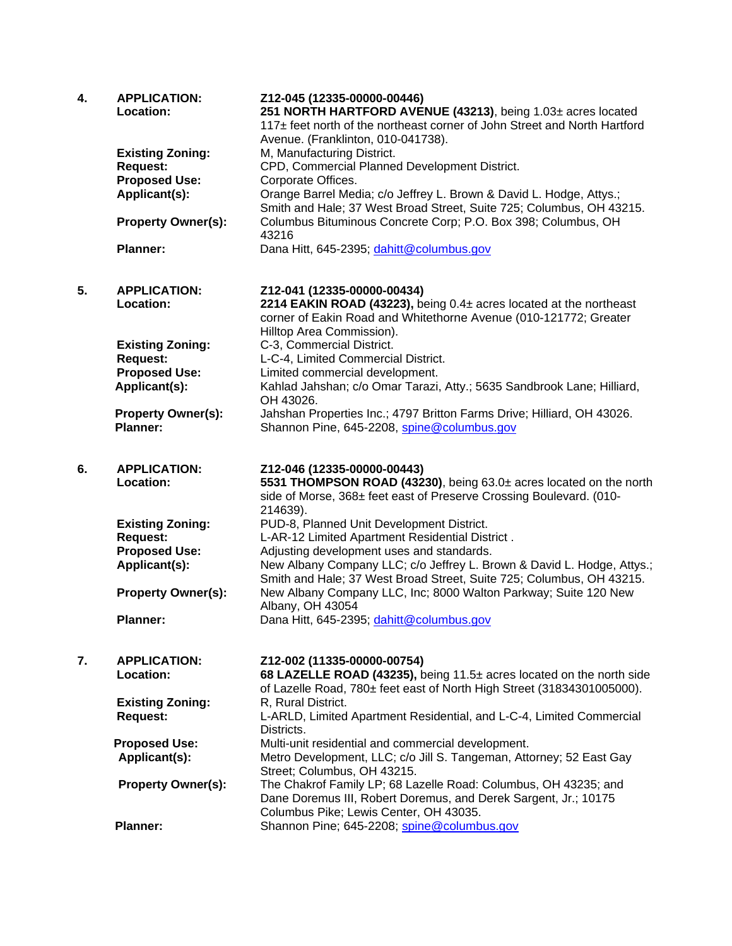| 4. | <b>APPLICATION:</b><br>Location:             | Z12-045 (12335-00000-00446)<br>251 NORTH HARTFORD AVENUE (43213), being 1.03± acres located<br>117± feet north of the northeast corner of John Street and North Hartford<br>Avenue. (Franklinton, 010-041738). |
|----|----------------------------------------------|----------------------------------------------------------------------------------------------------------------------------------------------------------------------------------------------------------------|
|    | <b>Existing Zoning:</b><br><b>Request:</b>   | M, Manufacturing District.<br>CPD, Commercial Planned Development District.                                                                                                                                    |
|    | <b>Proposed Use:</b>                         | Corporate Offices.                                                                                                                                                                                             |
|    | Applicant(s):                                | Orange Barrel Media; c/o Jeffrey L. Brown & David L. Hodge, Attys.;<br>Smith and Hale; 37 West Broad Street, Suite 725; Columbus, OH 43215.                                                                    |
|    | <b>Property Owner(s):</b>                    | Columbus Bituminous Concrete Corp; P.O. Box 398; Columbus, OH<br>43216                                                                                                                                         |
|    | <b>Planner:</b>                              | Dana Hitt, 645-2395; dahitt@columbus.gov                                                                                                                                                                       |
| 5. | <b>APPLICATION:</b><br>Location:             | Z12-041 (12335-00000-00434)<br>2214 EAKIN ROAD (43223), being 0.4± acres located at the northeast<br>corner of Eakin Road and Whitethorne Avenue (010-121772; Greater<br>Hilltop Area Commission).             |
|    | <b>Existing Zoning:</b>                      | C-3, Commercial District.                                                                                                                                                                                      |
|    | <b>Request:</b>                              | L-C-4, Limited Commercial District.                                                                                                                                                                            |
|    | <b>Proposed Use:</b>                         | Limited commercial development.                                                                                                                                                                                |
|    | Applicant(s):                                | Kahlad Jahshan; c/o Omar Tarazi, Atty.; 5635 Sandbrook Lane; Hilliard,<br>OH 43026.                                                                                                                            |
|    | <b>Property Owner(s):</b><br><b>Planner:</b> | Jahshan Properties Inc.; 4797 Britton Farms Drive; Hilliard, OH 43026.<br>Shannon Pine, 645-2208, spine@columbus.gov                                                                                           |
| 6. | <b>APPLICATION:</b>                          | Z12-046 (12335-00000-00443)                                                                                                                                                                                    |
|    | Location:                                    | 5531 THOMPSON ROAD (43230), being 63.0± acres located on the north<br>side of Morse, 368± feet east of Preserve Crossing Boulevard. (010-<br>214639).                                                          |
|    | <b>Existing Zoning:</b>                      | PUD-8, Planned Unit Development District.                                                                                                                                                                      |
|    | <b>Request:</b>                              | L-AR-12 Limited Apartment Residential District.                                                                                                                                                                |
|    | <b>Proposed Use:</b>                         | Adjusting development uses and standards.                                                                                                                                                                      |
|    | Applicant(s):                                | New Albany Company LLC; c/o Jeffrey L. Brown & David L. Hodge, Attys.;<br>Smith and Hale; 37 West Broad Street, Suite 725; Columbus, OH 43215.                                                                 |
|    | <b>Property Owner(s):</b>                    | New Albany Company LLC, Inc; 8000 Walton Parkway; Suite 120 New                                                                                                                                                |
|    | <b>Planner:</b>                              | Albany, OH 43054<br>Dana Hitt, 645-2395; dahitt@columbus.gov                                                                                                                                                   |
| 7. | <b>APPLICATION:</b>                          | Z12-002 (11335-00000-00754)                                                                                                                                                                                    |
|    | Location:                                    | 68 LAZELLE ROAD (43235), being 11.5± acres located on the north side<br>of Lazelle Road, 780± feet east of North High Street (31834301005000).                                                                 |
|    | <b>Existing Zoning:</b>                      | R, Rural District.                                                                                                                                                                                             |
|    | <b>Request:</b>                              | L-ARLD, Limited Apartment Residential, and L-C-4, Limited Commercial<br>Districts.                                                                                                                             |
|    | <b>Proposed Use:</b>                         | Multi-unit residential and commercial development.                                                                                                                                                             |
|    | Applicant(s):                                | Metro Development, LLC; c/o Jill S. Tangeman, Attorney; 52 East Gay<br>Street; Columbus, OH 43215.                                                                                                             |
|    | <b>Property Owner(s):</b>                    | The Chakrof Family LP; 68 Lazelle Road: Columbus, OH 43235; and<br>Dane Doremus III, Robert Doremus, and Derek Sargent, Jr.; 10175<br>Columbus Pike; Lewis Center, OH 43035.                                   |
|    | <b>Planner:</b>                              | Shannon Pine; 645-2208; spine@columbus.gov                                                                                                                                                                     |